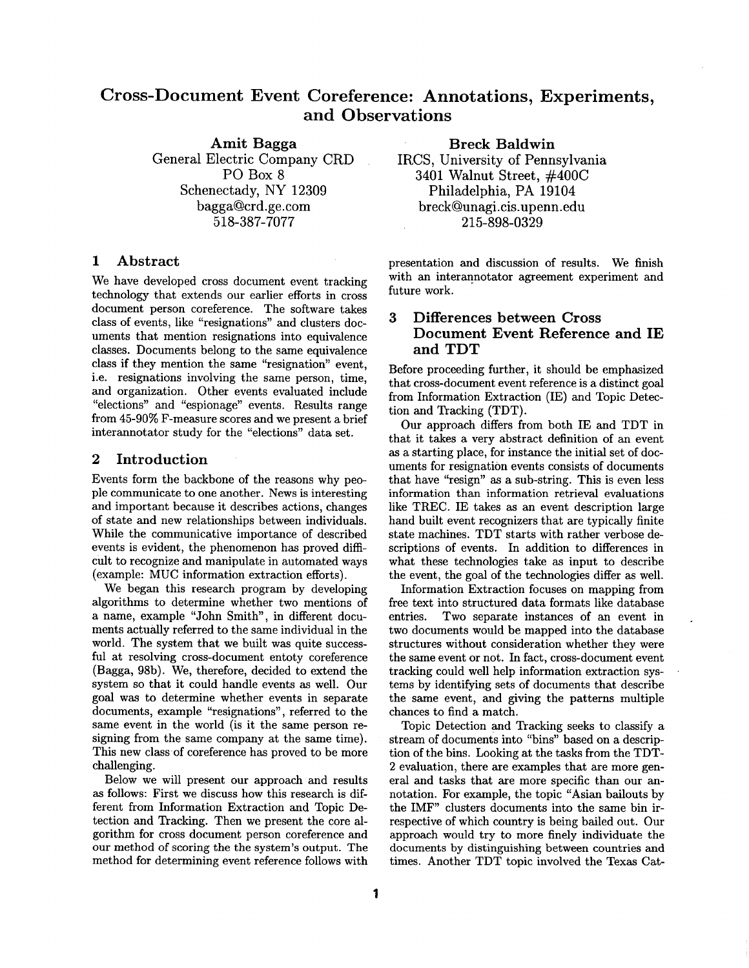# **Cross-Document Event Coreference: Annotations, Experiments, and Observations**

Amit **Bagga**  General Electric Company CRD PO Box 8 Schenectady, NY 12309 bagga@crd.ge.com 518-387-7077

## 1 Abstract

We have developed cross document event tracking technology that extends our earlier efforts in cross document person coreference. The software takes class of events, like "resignations" and clusters documents that mention resignations into equivalence classes. Documents belong to the same equivalence class if they mention the same "resignation" event, i.e. resignations involving the same person, time, and organization. Other events evaluated include "elections" and "espionage" events. Results range from 45-90% F-measure scores and we present a brief interannotator study for the "elections" data set.

## 2 **Introduction**

Events form the backbone of the reasons why people communicate to one another. News is interesting and important because it describes actions, changes of state and new relationships between individuals. While the communicative importance of described events is evident, the phenomenon has proved difficult to recognize and manipulate in automated ways (example: MUC information extraction efforts).

We began this research program by developing algorithms to determine whether two mentions of a name, example "John Smith", in different documents actually referred to the same individual in the world. The system that we built was quite successful at resolving cross-document entoty coreference (Bagga, 98b). We, therefore, decided to extend the system so that it could handle events as well. Our goal was to determine whether events in separate documents, example "resignations", referred to the same event in the world (is it the same person resigning from the same company at the same time). This new class of coreference has proved to be more challenging.

Below we will present our approach and results as follows: First we discuss how this research is different from Information Extraction and Topic Detection and Tracking. Then we present the core algorithm for cross document person coreference and our method of scoring the the system's output. The method for determining event reference follows with

Breck **Baldwin** 

IRCS, University of Pennsylvania 3401 Walnut Street, #400C Philadelphia, PA 19104 breck@unagi.cis.upenn.edu 215-898-0329

presentation and discussion of results. We finish with an interannotator agreement experiment and future work.

# 3 Differences between Cross Document Event Reference and IE **and** TDT

Before proceeding further, it should be emphasized that cross-document event reference is a distinct goal from Information Extraction (IE) and Topic Detection and Tracking (TDT).

Our approach differs from both IE and TDT in that it takes a very abstract definition of an event as a starting place, for instance the initial set of documents for resignation events consists of documents that have "resign" as a sub-string. This is even less information than information retrieval evaluations like TREC. IE takes as an event description large hand built event recognizers that are typically finite state machines. TDT starts with rather verbose descriptions of events. In addition to differences in what these technologies take as input to describe the event, the goal of the technologies differ as well.

Information Extraction focuses on mapping from free text into structured data formats like database entries. Two separate instances of an event in two documents would be mapped into the database structures without consideration whether they were the same event or not. In fact, cross-document event tracking could well help information extraction systems by identifying sets of documents that describe the same event, and giving the patterns multiple chances to find a match.

Topic Detection and Tracking seeks to classify a stream of documents into "bins" based on a description of the bins. Looking at the tasks from the TDT-2 evaluation, there are examples that are more general and tasks that are more specific than our annotation. For example, the topic "Asian bailouts by the IMF" clusters documents into the same bin irrespective of which country is being bailed out. Our approach would try to more finely individuate the documents by distinguishing between countries and times. Another TDT topic involved the Texas Cat-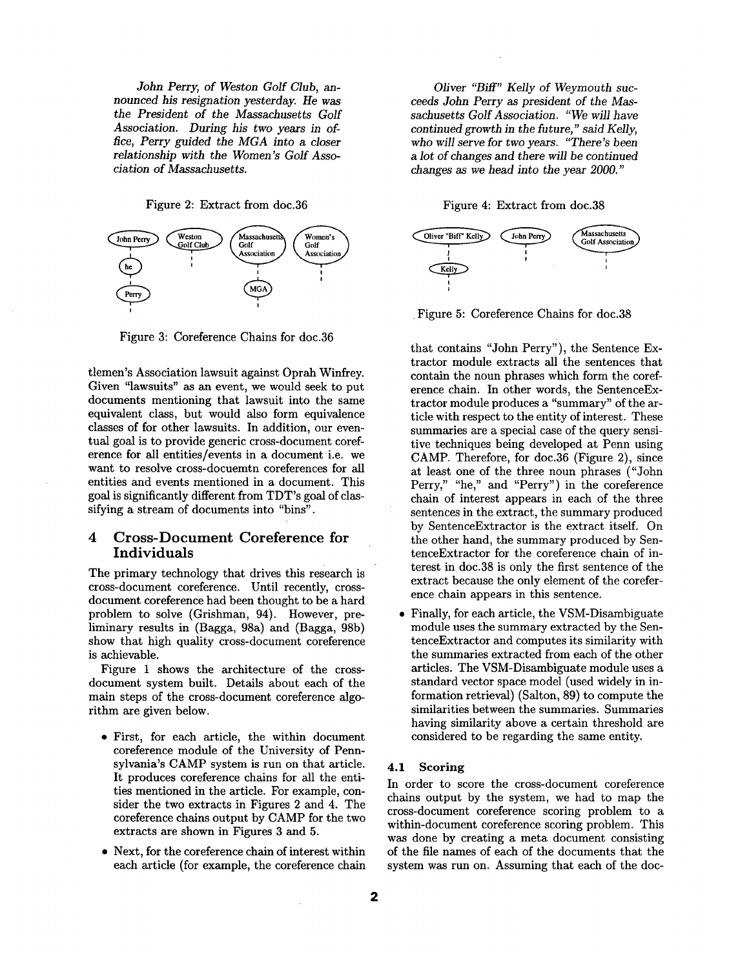*John Perry, of Weston Golf Club, announced his resignation yesterday. He was*  the *President of the Massachusetts Golf Association. During his two years in ofrice, Perry guided the MGA into a closer relationship with* the *Women's Golf Association of Massachusetts.* 

Figure 2: Extract from doc.36



Figure 3: Coreference Chains for doc.36

tlemen's Association lawsuit against Oprah Winfrey. Given "lawsuits" as an event, we would seek to put documents mentioning that lawsuit into the same equivalent class, but would also form equivalence classes of for other lawsuits. In addition, our eventual goal is to provide generic cross-document coreference for all entities/events in a document i.e. we want to resolve cross-docuemtn coreferences for all entities and events mentioned in a document. This goal is significantly different from TDT's goal of classifying a stream of documents into "bins".

## 4 Cross-Document Coreference for **Individuals**

The primary technology that drives this research is cross-document coreference. Until recently, crossdocument coreference had been thought to be a hard problem to solve (Grishman, 94). However, preliminary results in (Bagga, 98a) and (Bagga, 98b) show that high quality cross-document coreference is achievable.

Figure 1 shows the architecture of the crossdocument system built. Details about each of the main steps of the cross-document coreference algorithm are given below.

- First, for each article, the within document coreference module of the University of Pennsylvania's CAMP system is run on that article. It produces coreference chains for all the entities mentioned in the article. For example, consider the two extracts in Figures 2 and 4. The coreference chains output by CAMP for the two extracts are shown in Figures 3 and 5.
- Next, for the coreference chain of interest within each article (for example, the coreference chain

*Oliver "Biff" Kelly of Weymouth succeeds John Perry as president of the Massachusetts Golf Association. "We will have continued growth in the* future," *said Kelly, who will serve for two years. "There's been a lot of changes and* there *will* be *continued changes as we head into the year 2000."* 

Figure 4: Extract from doc.38



Figure 5: Coreference Chains for doc.38

that contains "John Perry"), the Sentence Extractor module extracts all the sentences that contain the noun phrases which form the coreference chain. In other words, the SentenceExtractor module produces a "summary" of the article with respect to the entity of interest. These summaries are a special case of the query sensitive techniques being developed at Penn using CAMP. Therefore, for doc.36 (Figure 2), since at least one of the three noun phrases ("John Perry," "he," and "Perry") in the coreference chain of interest appears in each of the three sentences in the extract, the summary produced by SentenceExtractor is the extract itself. On the other hand, the summary produced by SentenceExtractor for the coreference chain of interest in doc.38 is only the first sentence of the extract because the only element of the coreference chain appears in this sentence.

Finally, for each article, the VSM-Disambiguate module uses the summary extracted by the SentenceExtractor and computes its similarity with the summaries extracted from each of the other articles. The VSM-Disambiguate module uses a standard vector space model (used widely in information retrieval) (Salton, 89) to compute the similarities between the summaries. Summaries having similarity above a certain threshold are considered to be regarding the same entity.

## **4.1 Scoring**

In order to score the cross-document coreference chains output by the system, we had to map the cross-document coreference scoring problem to a within-document coreference scoring problem. This was done by creating a meta document consisting of the file names of each of the documents that the system was run on. Assuming that each of the doc-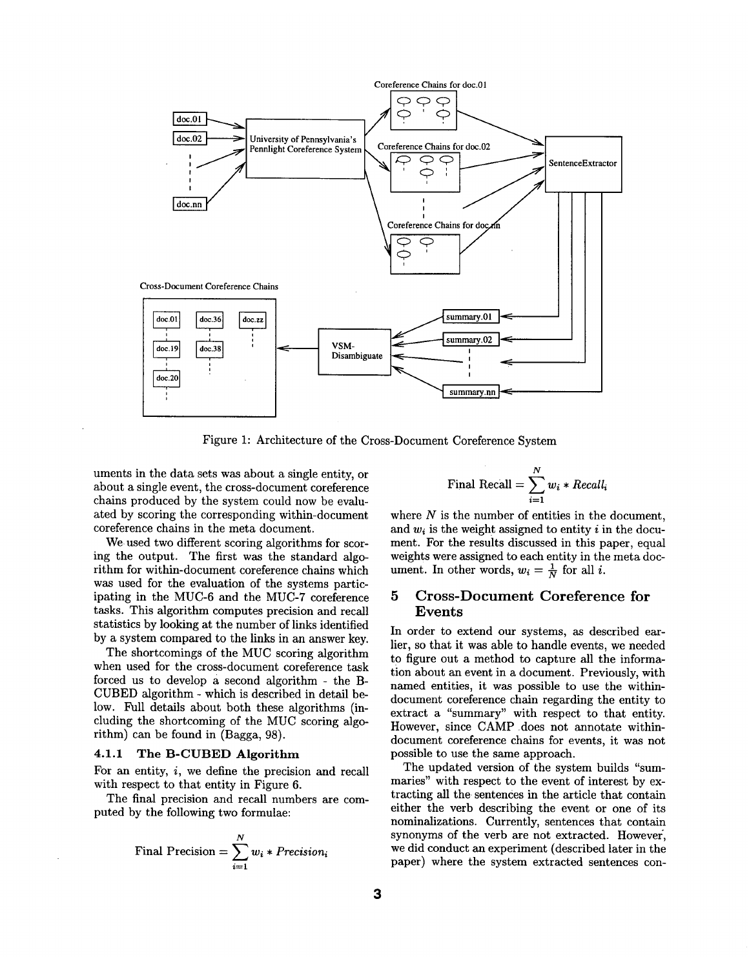

Figure 1: Architecture of the Cross-Document Coreference System

uments in the data sets was about a single entity, or about a single event, the cross-document coreference chains produced by the system could now be evaluated by scoring the corresponding within-document coreference chains in the meta document.

We used two different scoring algorithms for scoring the output. The first was the standard algorithm for within-document coreference chains which was used for the evaluation of the systems participating in the MUC-6 and the MUC-7 coreference tasks. This algorithm computes precision and recall statistics by looking at the number of links identified by a system compared to the links in an answer key.

The shortcomings of the MUC scoring algorithm when used for the cross-document coreference task forced us to develop a second algorithm - the B-CUBED algorithm - which is described in detail below. Full details about both these algorithms (including the shortcoming of the MUC scoring algorithm) can be found in (Bagga, 98).

## 4.1.1 The B-CUBED Algorithm

For an entity, i, we define the precision and recall with respect to that entity in Figure 6.

The final precision and recall numbers are computed by the following two formulae:

Final Precision = 
$$
\sum_{i=1}^{N} w_i * Precision_i
$$

$$
Final Recall = \sum_{i=1}^{N} w_i * Recall_i
$$

where  $N$  is the number of entities in the document, and  $w_i$  is the weight assigned to entity i in the document. For the results discussed in this paper, equal weights were assigned to each entity in the meta document. In other words,  $w_i = \frac{1}{N}$  for all i.

## **5 Cross-Document** Coreference for Events

In order to extend our systems, as described earlier, so that it was able to handle events, we needed to figure out a method to capture all the information about an event in a document. Previously, with named entities, it was possible to use the withindocument coreference chain regarding the entity to extract a "summary" with respect to that entity. However, since CAMP does not annotate withindocument coreference chains for events, it was not possible to use the same approach.

The updated version of the system builds "summaries" with respect to the event of interest by extracting all the sentences in the article that contain either the verb describing the event or one of its nominalizations. Currently, sentences that contain synonyms of the verb are not extracted. However', we did conduct an experiment (described later in the paper) where the system extracted sentences con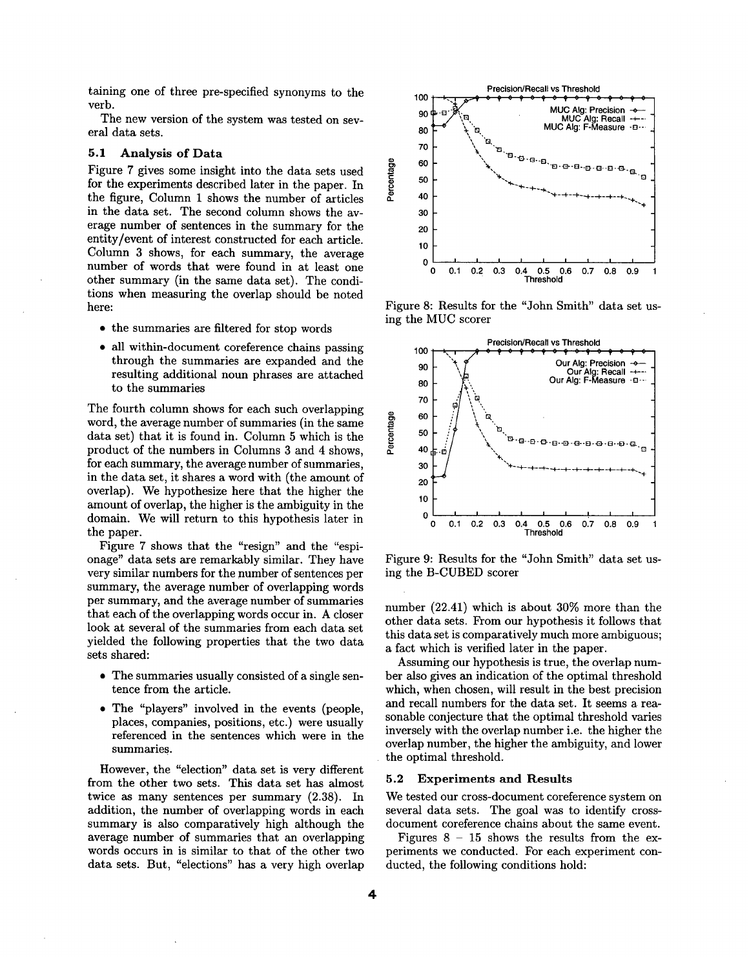taining one of three pre-specified synonyms to the verb.

The new version of the system was tested on several data sets.

#### **5.1 Analysis of Data**

Figure 7 gives some insight into the data sets used for the experiments described later in the paper. In the figure, Column 1 shows the number of articles in the data set. The second column shows the average number of sentences in the summary for the entity/event of interest constructed for each article. Column 3 shows, for each summary, the average number of words that were found in at least one other summary (in the same data set). The conditions when measuring the overlap should be noted here:

- the summaries are filtered for stop words
- all within-document coreference chains passing through the summaries are expanded and the resulting additional noun phrases are attached to the summaries

The fourth column shows for each such overlapping word, the average number of summaries (in the same data set) that it is found in. Column 5 which is the product of the numbers in Columns 3 and 4 shows, for each summary, the average number of summaries, in the data set, it shares a word with (the amount of overlap). We hypothesize here that the higher the amount of overlap, the higher is the ambiguity in the domain. We will return to this hypothesis later in the paper.

Figure 7 shows that the "resign" and the "espionage" data sets are remarkably similar. They have very similar numbers for the number of sentences per summary, the average number of overlapping words per summary, and the average number of summaries that each of the overlapping words occur in. A closer look at several of the summaries from each data set yielded the following properties that the two data sets shared:

- The summaries usually consisted of a single sentence from the article.
- The "players" involved in the events (people, places, companies, positions, etc.) were usually referenced in the sentences which were in the summaries.

However, the "election" data set is very different from the other two sets. This data set has almost twice as many sentences per summary (2.38). In addition, the number of overlapping words in each summary is also comparatively high although the average number of summaries that an overlapping words occurs in is similar to that of the other two data sets. But, "elections" has a very high overlap



Figure 8: Results for the "John Smith" data set using the MUC scorer



Figure 9: Results for the "John Smith" data set using the B-CUBED scorer

number (22.41) which is about 30% more than the other data sets. From our hypothesis it follows that this data set is comparatively much more ambiguous; a fact which is verified later in the paper.

Assuming our hypothesis is true, the overlap number also gives an indication of the optimal threshold which, when chosen, will result in the best precision and recall numbers for the data set. It seems a reasonable conjecture that the optimal threshold varies inversely with the overlap number i.e. the higher the overlap number, the higher the ambiguity, and lower the optimal threshold.

## **5.2 Experiments and Results**

We tested our cross-document coreference system on several data sets. The goal was to identify crossdocument coreference chains about the same event.

Figures  $8 - 15$  shows the results from the experiments we conducted. For each experiment conducted, the following conditions hold: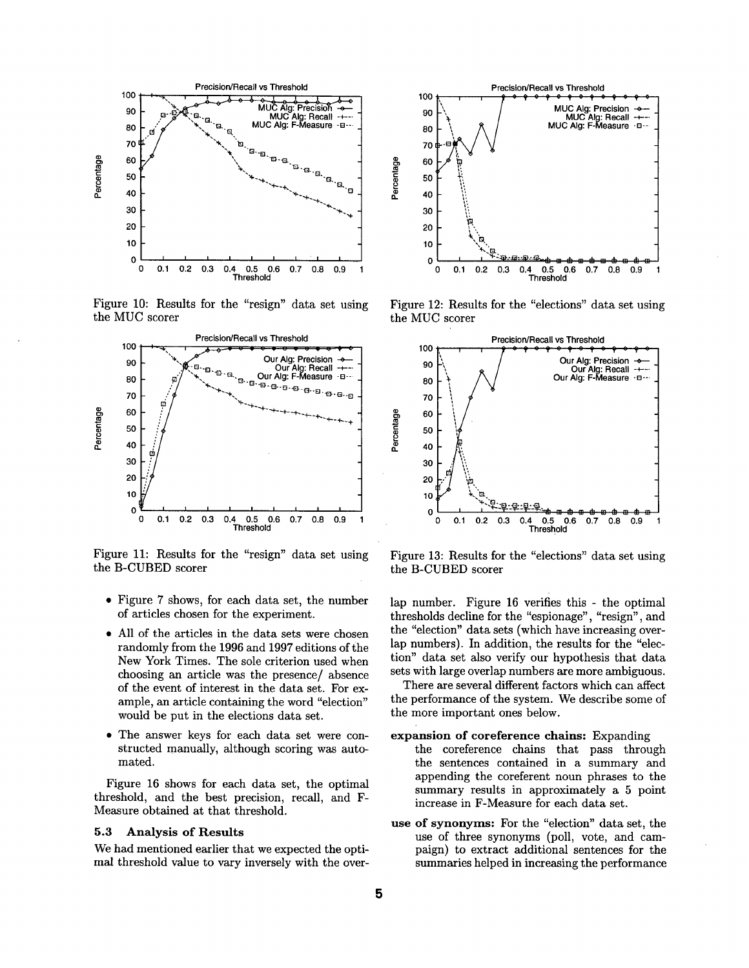

Figure 10: Results for the "resign" data set using the MUC scorer



Figure 11: Results for the "resign" data set using the B-CUBED scorer

- Figure 7 shows, for each data set, the number of articles chosen for the experiment.
- All of the articles in the data sets were chosen randomly from the 1996 and 1997 editions of the New York Times. The sole criterion used when choosing an article was the presence/ absence of the event of interest in the data set. For example, an article containing the word "election" would be put in the elections data set.
- The answer keys for each data set were constructed manually, although scoring was automated.

Figure 16 shows for each data set, the optimal threshold, and the best precision, recall, and F-Measure obtained at that threshold.

#### **5.3 Analysis of Results**

We had mentioned earlier that we expected the optimal threshold value to vary inversely with the over-



Figure 12: Results for the "elections" data set using the MUC scorer



Figure 13: Results for the "elections" data set using the B-CUBED scorer

lap number. Figure 16 verifies this - the optimal thresholds decline for the "espionage", "resign", and the "election" data sets (which have increasing overlap numbers). In addition, the results for the "election" data set also verify our hypothesis that data sets with large overlap numbers are more ambiguous.

There are several different factors which can affect the performance of the system. We describe some of the more important ones below.

#### expansion of **coreference chains:** Expanding

- the coreference chains that pass through the sentences contained in a summary and appending the coreferent noun phrases to the summary results in approximately a 5 point increase in F-Measure for each data set.
- **use of synonyms:** For the "election" data set, the use of three synonyms (poll, vote, and campaign) to extract additional sentences for the summaries helped in increasing the performance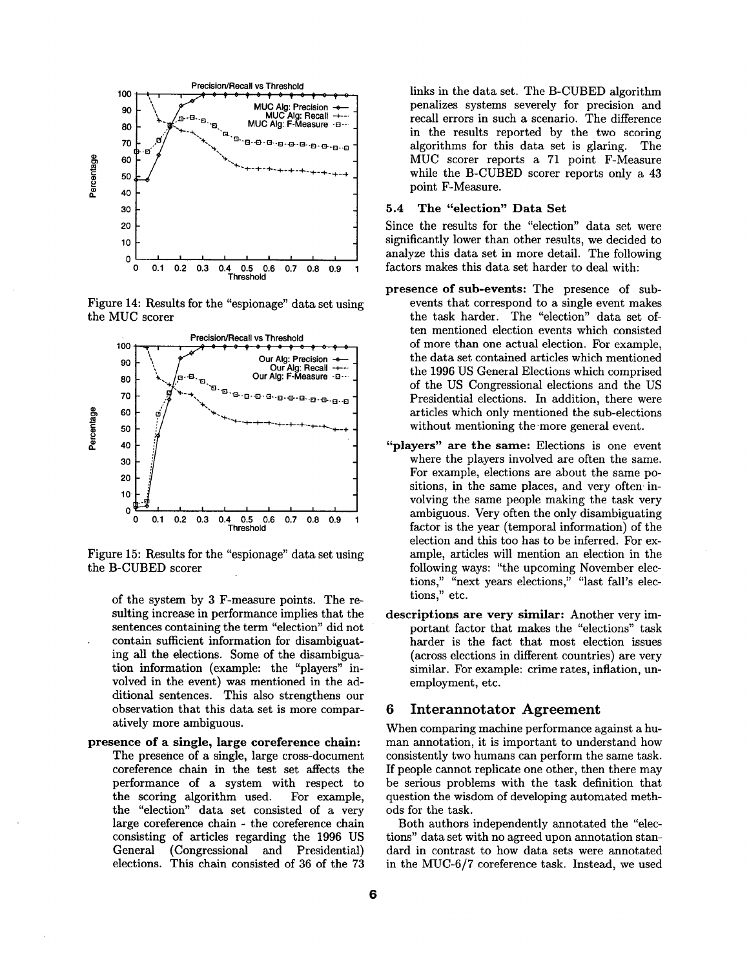

Figure 14: Results for the "espionage" data set using the MUC scorer



Figure 15: Results for the "espionage" data set using the B-CUBED scorer

of the system by 3 F-measure points. The resulting increase in performance implies that the sentences containing the term "election" did not contain sufficient information for disambiguating all the elections. Some of the disambiguation information (example: the "players" involved in the event) was mentioned in the additional sentences. This also strengthens our observation that this data set is more comparatively more ambiguous.

presence of a **single, large** coreference chain: The presence of a single, large cross-document coreference chain in the test set affects the performance of a system with respect to the scoring algorithm used. For example, the "election" data set consisted of a very large coreference chain - the coreference chain consisting of articles regarding the 1996 US General (Congressional and Presidential) elections. This chain consisted of 36 of the 73 links in the data set. The B-CUBED algorithm penalizes systems severely for precision and recall errors in such a scenario. The difference in the results reported by the two scoring algorithms for this data set is glaring. The MUC scorer reports a 71 point F-Measure while the B-CUBED scorer reports only a 43 point F-Measure.

## **5.4 The "election" Data Set**

Since the results for the "election" data set were significantly lower than other results, we decided to analyze this data set in more detail. The following factors makes this data set harder to deal with:

- presence of sub-events: The presence of subevents that correspond to a single event makes the task harder. The "election" data set often mentioned election events which consisted of more than one actual election. For example, the data set contained articles which mentioned the 1996 US General Elections which comprised of the US Congressional elections and the US Presidential elections. In addition, there were articles which only mentioned the sub-elections without mentioning the more general event.
- "players" are **the same:** Elections is one event where the players involved are often the same. For example, elections are about the same positions, in the same places, and very often involving the same people making the task very ambiguous. Very often the only disambiguating factor is the year (temporal information) of the election and this too has to be inferred. For example, articles will mention an election in the following ways: "the upcoming November elections," "next years elections," "last fall's elections," etc.
- **descriptions** are very similar: Another very important factor that makes the "elections" task harder is the fact that most election issues (across elections in different countries) are very similar. For example: crime rates, inflation, unemployment, etc.

#### 6 Interannotator Agreement

When comparing machine performance against a human annotation, it is important to understand how consistently two humans can perform the same task. If people cannot replicate one other, then there may be serious problems with the task definition that question the wisdom of developing automated methods for the task.

Both authors independently annotated the "elections" data set with no agreed upon annotation standard in contrast to how data sets were annotated in the MUC-6/7 coreference task. Instead, we used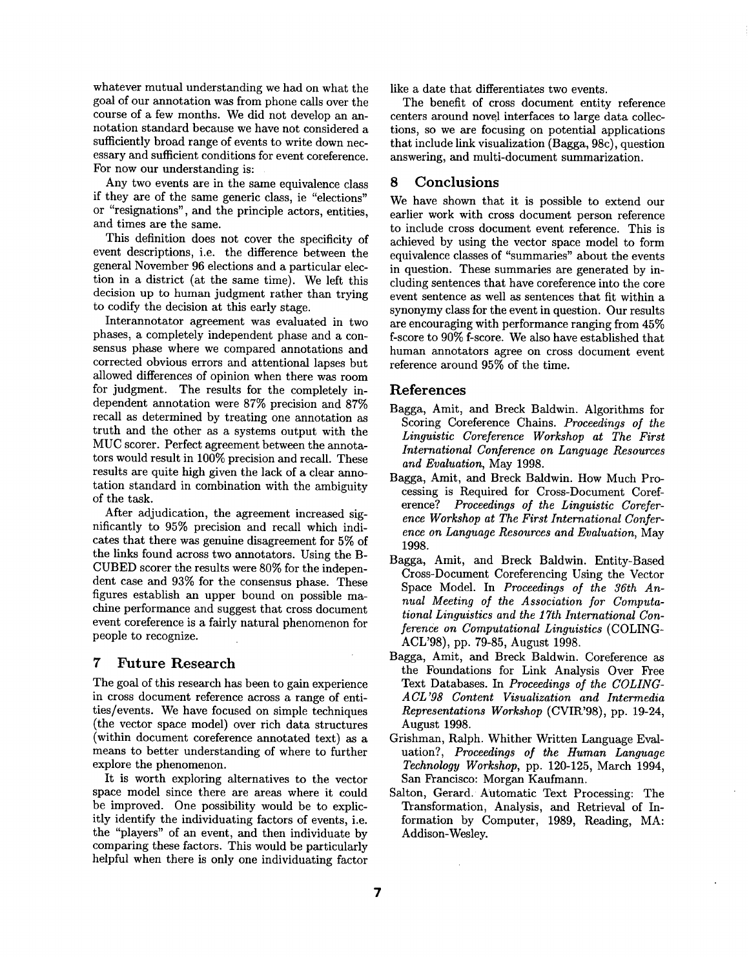whatever mutual understanding we had on what the goal of our annotation was from phone calls over the course of a few months. We did not develop an annotation standard because we have not considered a sufficiently broad range of events to write down necessary and sufficient conditions for event coreference. For now our understanding is:

Any two events are in the same equivalence class if they are of the same generic class, ie "elections" or "resignations", and the principle actors, entities, and times are the same.

This definition does not cover the specificity of event descriptions, i.e. the difference between the general November 96 elections and a particular election in a district (at the same time). We left this decision up to human judgment rather than trying to codify the decision at this early stage.

Interannotator agreement was evaluated in two phases, a completely independent phase and a consensus phase where we compared annotations and corrected obvious errors and attentional lapses but allowed differences of opinion when there was room for judgment. The results for the completely independent annotation were 87% precision and 87% recall as determined by treating one annotation as truth and the other as a systems output with the MUC scorer. Perfect agreement between the annotators would result in 100% precision and recall. These results are quite high given the lack of a clear annotation standard in combination with the ambiguity of the task.

After adjudication, the agreement increased significantly to 95% precision and recall which indicates that there was genuine disagreement for 5% of the links found across two annotators. Using the B-CUBED scorer the results were 80% for the independent case and 93% for the consensus phase. These figures establish an upper bound on possible machine performance and suggest that cross document event coreference is a fairly natural phenomenon for people to recognize.

## **7 Future Research**

The goal of this research has been to gain experience in cross document reference across a range of entities/events. We have focused on simple techniques (the vector space model) over rich data structures (within document coreference annotated text) as a means to better understanding of where to further explore the phenomenon.

It is worth exploring alternatives to the vector space model since there are areas where it could be improved. One possibility would be to explicitly identify the individuating factors of events, i.e. the "players" of an event, and then individuate by comparing these factors. This would be particularly helpful when there is only one individuating factor

like a date that differentiates two events.

The benefit of cross document entity reference centers around novel interfaces to large data collections, so we are focusing on potential applications that include link visualization (Bagga, 98c), question answering, and multi-document summarization.

## 8 Conclusions

We have shown that it is possible to extend our earlier work with cross document person reference to include cross document event reference. This is achieved by using the vector space model to form equivalence classes of "summaries" about the events in question. These summaries are generated by including sentences that have coreference into the core event sentence as well as sentences that fit within a synonymy class for the event in question. Our results are encouraging with performance ranging from 45% f-score to 90% f-score. We also have established that human annotators agree on cross document event reference around 95% of the time.

## References

- Bagga, Amit, and Breck Baldwin. Algorithms for Scoring Coreference Chains. *Proceedings of the Linguistic Coreference Workshop at The First International Conference on Language Resources and Evaluation,* May 1998.
- Bagga, Amit, and Breck Baldwin. How Much Processing is Required for Cross-Document Coreference? *Proceedings of the Linguistic Coreference Workshop at The First International Conference on Language Resources and Evaluation,* May 1998.
- Bagga, Amit, and Breck Baldwin. Entity-Based Cross-Document Coreferencing Using the Vector Space Model. In *Proceedings of the 36th Annual Meeting of the Association for Computational Linguistics and the 17th International Conferende on Computational Linguistics* (COLING-ACL'98), pp. 79-85, August 1998.
- Bagga, Amit, and Breck Baldwin. Coreference as the Foundations for Link Analysis Over Free Text Databases. In *Proceedings of the COLING-A CL'98 Content Visualization and Intermedia Representations Workshop* (CVIR'98), pp. 19-24, August 1998.
- Grishman, Ralph. Whither Written Language Evaluation?, *Proceedings of the Human Language Technology Workshop,* pp. 120-125, March 1994, San Francisco: Morgan Kaufmann.
- Salton, Gerard. AUtomatic Text Processing: The Transformation, Analysis, and Retrieval of Information by Computer, 1989, Reading, MA: Addison-Wesley.